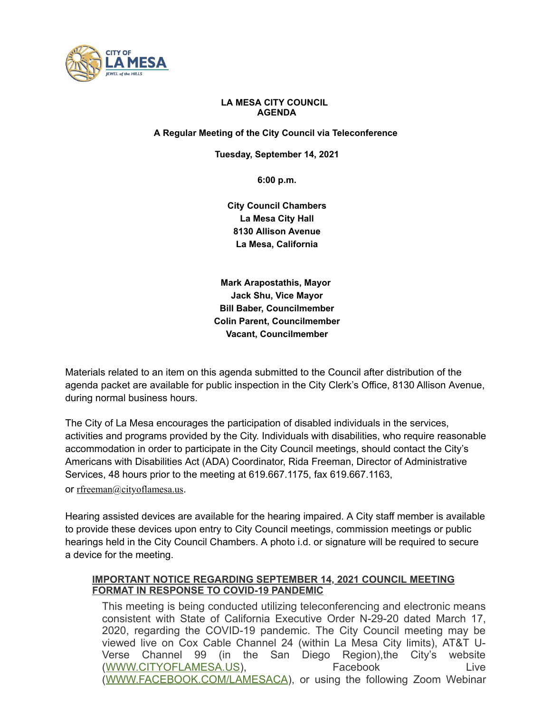

# **LA MESA CITY COUNCIL AGENDA**

**A Regular Meeting of the City Council via Teleconference**

**Tuesday, September 14, 2021**

**6:00 p.m.**

**City Council Chambers La Mesa City Hall 8130 Allison Avenue La Mesa, California**

**Mark Arapostathis, Mayor Jack Shu, Vice Mayor Bill Baber, Councilmember Colin Parent, Councilmember Vacant, Councilmember**

Materials related to an item on this agenda submitted to the Council after distribution of the agenda packet are available for public inspection in the City Clerk's Office, 8130 Allison Avenue, during normal business hours.

The City of La Mesa encourages the participation of disabled individuals in the services, activities and programs provided by the City. Individuals with disabilities, who require reasonable accommodation in order to participate in the City Council meetings, should contact the City's Americans with Disabilities Act (ADA) Coordinator, Rida Freeman, Director of Administrative Services, 48 hours prior to the meeting at 619.667.1175, fax 619.667.1163,

or [rfreeman@cityoflamesa.us](mailto:rfreeman@ci.la-mesa.ca.us).

Hearing assisted devices are available for the hearing impaired. A City staff member is available to provide these devices upon entry to City Council meetings, commission meetings or public hearings held in the City Council Chambers. A photo i.d. or signature will be required to secure a device for the meeting.

# **IMPORTANT NOTICE REGARDING SEPTEMBER 14, 2021 COUNCIL MEETING FORMAT IN RESPONSE TO COVID-19 PANDEMIC**

This meeting is being conducted utilizing teleconferencing and electronic means consistent with State of California Executive Order N-29-20 dated March 17, 2020, regarding the COVID-19 pandemic. The City Council meeting may be viewed live on Cox Cable Channel 24 (within La Mesa City limits), AT&T U-Verse Channel 99 (in the San Diego Region),the City's website ([WWW.CITYOFLAMESA.US\)](http://www.cityoflamesa.us/), Facebook Live ([WWW.FACEBOOK.COM/LAMESACA](http://www.facebook.com/lamesaca)), or using the following Zoom Webinar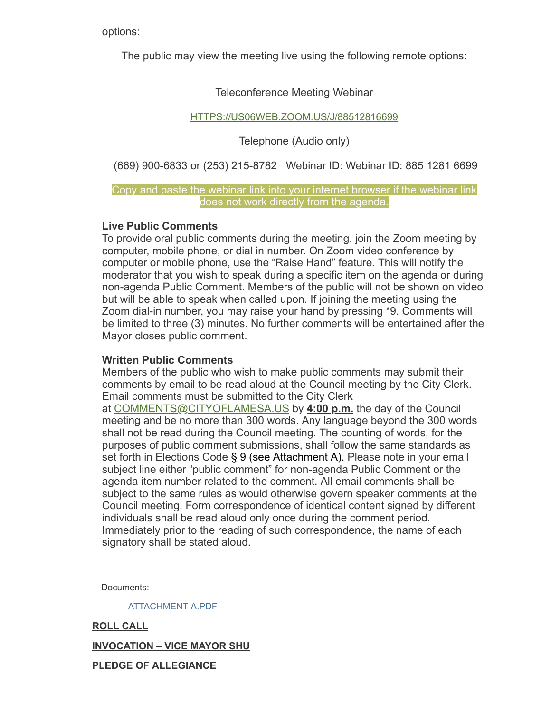options:

The public may view the meeting live using the following remote options:

# Teleconference Meeting Webinar

# [HTTPS://US06WEB.ZOOM.US/J/88512816699](https://us06web.zoom.us/j/88512816699)

Telephone (Audio only)

(669) 900-6833 or (253) 215-8782 Webinar ID: Webinar ID: 885 1281 6699

# Copy and paste the webinar link into your internet browser if the webinar link does not work directly from the agenda.

# **Live Public Comments**

To provide oral public comments during the meeting, join the Zoom meeting by computer, mobile phone, or dial in number. On Zoom video conference by computer or mobile phone, use the "Raise Hand" feature. This will notify the moderator that you wish to speak during a specific item on the agenda or during non-agenda Public Comment. Members of the public will not be shown on video but will be able to speak when called upon. If joining the meeting using the Zoom dial-in number, you may raise your hand by pressing \*9. Comments will be limited to three (3) minutes. No further comments will be entertained after the Mayor closes public comment.

# **Written Public Comments**

Members of the public who wish to make public comments may submit their comments by email to be read aloud at the Council meeting by the City Clerk. Email comments must be submitted to the City Clerk

at [COMMENTS@CITYOFLAMESA.US](mailto:comments@cityoflamesa.us) by **4:00 p.m.** the day of the Council meeting and be no more than 300 words. Any language beyond the 300 words shall not be read during the Council meeting. The counting of words, for the purposes of public comment submissions, shall follow the same standards as set forth in Elections Code § 9 (see Attachment A). Please note in your email subject line either "public comment" for non-agenda Public Comment or the agenda item number related to the comment. All email comments shall be subject to the same rules as would otherwise govern speaker comments at the Council meeting. Form correspondence of identical content signed by different individuals shall be read aloud only once during the comment period. Immediately prior to the reading of such correspondence, the name of each signatory shall be stated aloud.

Documents:

[ATTACHMENT](https://www.cityoflamesa.us/AgendaCenter/ViewFile/Item/6297?fileID=15029) A.PDF

**ROLL CALL INVOCATION – VICE MAYOR SHU PLEDGE OF ALLEGIANCE**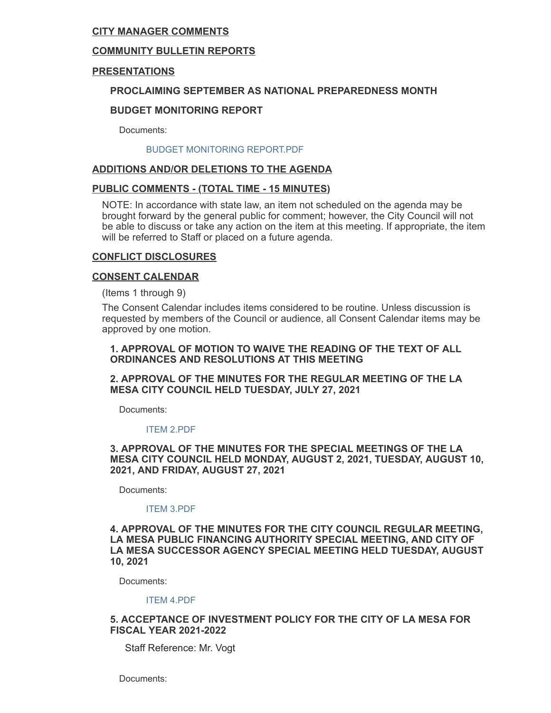# **CITY MANAGER COMMENTS**

# **COMMUNITY BULLETIN REPORTS**

# **PRESENTATIONS**

# **PROCLAIMING SEPTEMBER AS NATIONAL PREPAREDNESS MONTH**

# **BUDGET MONITORING REPORT**

Documents:

#### BUDGET [MONITORING](https://www.cityoflamesa.us/AgendaCenter/ViewFile/Item/6296?fileID=15028) REPORT.PDF

# **ADDITIONS AND/OR DELETIONS TO THE AGENDA**

## **PUBLIC COMMENTS - (TOTAL TIME - 15 MINUTES)**

NOTE: In accordance with state law, an item not scheduled on the agenda may be brought forward by the general public for comment; however, the City Council will not be able to discuss or take any action on the item at this meeting. If appropriate, the item will be referred to Staff or placed on a future agenda.

## **CONFLICT DISCLOSURES**

### **CONSENT CALENDAR**

(Items 1 through 9)

The Consent Calendar includes items considered to be routine. Unless discussion is requested by members of the Council or audience, all Consent Calendar items may be approved by one motion.

## **1. APPROVAL OF MOTION TO WAIVE THE READING OF THE TEXT OF ALL ORDINANCES AND RESOLUTIONS AT THIS MEETING**

## **2. APPROVAL OF THE MINUTES FOR THE REGULAR MEETING OF THE LA MESA CITY COUNCIL HELD TUESDAY, JULY 27, 2021**

Documents:

#### ITEM [2.PDF](https://www.cityoflamesa.us/AgendaCenter/ViewFile/Item/6286?fileID=15018)

### **3. APPROVAL OF THE MINUTES FOR THE SPECIAL MEETINGS OF THE LA MESA CITY COUNCIL HELD MONDAY, AUGUST 2, 2021, TUESDAY, AUGUST 10, 2021, AND FRIDAY, AUGUST 27, 2021**

Documents:

#### ITEM [3.PDF](https://www.cityoflamesa.us/AgendaCenter/ViewFile/Item/6287?fileID=15019)

### **4. APPROVAL OF THE MINUTES FOR THE CITY COUNCIL REGULAR MEETING, LA MESA PUBLIC FINANCING AUTHORITY SPECIAL MEETING, AND CITY OF LA MESA SUCCESSOR AGENCY SPECIAL MEETING HELD TUESDAY, AUGUST 10, 2021**

Documents:

#### ITEM [4.PDF](https://www.cityoflamesa.us/AgendaCenter/ViewFile/Item/6288?fileID=15020)

### **5. ACCEPTANCE OF INVESTMENT POLICY FOR THE CITY OF LA MESA FOR FISCAL YEAR 2021-2022**

Staff Reference: Mr. Vogt

Documents: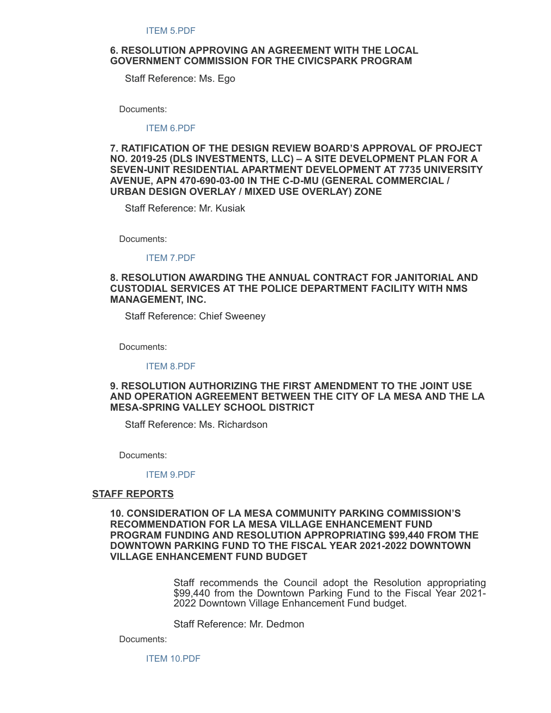### **6. RESOLUTION APPROVING AN AGREEMENT WITH THE LOCAL GOVERNMENT COMMISSION FOR THE CIVICSPARK PROGRAM**

Staff Reference: Ms. Ego

Documents:

ITEM [6.PDF](https://www.cityoflamesa.us/AgendaCenter/ViewFile/Item/6290?fileID=15022)

**7. RATIFICATION OF THE DESIGN REVIEW BOARD'S APPROVAL OF PROJECT NO. 2019-25 (DLS INVESTMENTS, LLC) – A SITE DEVELOPMENT PLAN FOR A SEVEN-UNIT RESIDENTIAL APARTMENT DEVELOPMENT AT 7735 UNIVERSITY AVENUE, APN 470-690-03-00 IN THE C-D-MU (GENERAL COMMERCIAL / URBAN DESIGN OVERLAY / MIXED USE OVERLAY) ZONE**

Staff Reference: Mr. Kusiak

Documents:

ITEM [7.PDF](https://www.cityoflamesa.us/AgendaCenter/ViewFile/Item/6291?fileID=15023)

## **8. RESOLUTION AWARDING THE ANNUAL CONTRACT FOR JANITORIAL AND CUSTODIAL SERVICES AT THE POLICE DEPARTMENT FACILITY WITH NMS MANAGEMENT, INC.**

Staff Reference: Chief Sweeney

Documents:

ITEM [8.PDF](https://www.cityoflamesa.us/AgendaCenter/ViewFile/Item/6292?fileID=15024)

## **9. RESOLUTION AUTHORIZING THE FIRST AMENDMENT TO THE JOINT USE AND OPERATION AGREEMENT BETWEEN THE CITY OF LA MESA AND THE LA MESA-SPRING VALLEY SCHOOL DISTRICT**

Staff Reference: Ms. Richardson

Documents:

#### ITEM [9.PDF](https://www.cityoflamesa.us/AgendaCenter/ViewFile/Item/6293?fileID=15025)

#### **STAFF REPORTS**

**10. CONSIDERATION OF LA MESA COMMUNITY PARKING COMMISSION'S RECOMMENDATION FOR LA MESA VILLAGE ENHANCEMENT FUND PROGRAM FUNDING AND RESOLUTION APPROPRIATING \$99,440 FROM THE DOWNTOWN PARKING FUND TO THE FISCAL YEAR 2021-2022 DOWNTOWN VILLAGE ENHANCEMENT FUND BUDGET**

> Staff recommends the Council adopt the Resolution appropriating \$99,440 from the Downtown Parking Fund to the Fiscal Year 2021- 2022 Downtown Village Enhancement Fund budget.

Staff Reference: Mr. Dedmon

Documents:

ITEM [10.PDF](https://www.cityoflamesa.us/AgendaCenter/ViewFile/Item/6294?fileID=15026)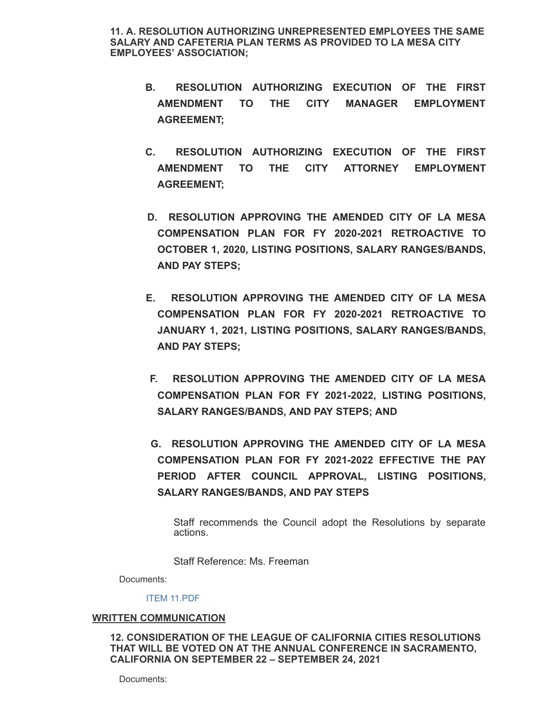**11. A. RESOLUTION AUTHORIZING UNREPRESENTED EMPLOYEES THE SAME SALARY AND CAFETERIA PLAN TERMS AS PROVIDED TO LA MESA CITY EMPLOYEES' ASSOCIATION;**

- **B. RESOLUTION AUTHORIZING EXECUTION OF THE FIRST AMENDMENT TO THE CITY MANAGER EMPLOYMENT AGREEMENT;**
- **C. RESOLUTION AUTHORIZING EXECUTION OF THE FIRST AMENDMENT TO THE CITY ATTORNEY EMPLOYMENT AGREEMENT;**
- **D. RESOLUTION APPROVING THE AMENDED CITY OF LA MESA COMPENSATION PLAN FOR FY 2020-2021 RETROACTIVE TO OCTOBER 1, 2020, LISTING POSITIONS, SALARY RANGES/BANDS, AND PAY STEPS;**
- **E. RESOLUTION APPROVING THE AMENDED CITY OF LA MESA COMPENSATION PLAN FOR FY 2020-2021 RETROACTIVE TO JANUARY 1, 2021, LISTING POSITIONS, SALARY RANGES/BANDS, AND PAY STEPS;**
- **F. RESOLUTION APPROVING THE AMENDED CITY OF LA MESA COMPENSATION PLAN FOR FY 2021-2022, LISTING POSITIONS, SALARY RANGES/BANDS, AND PAY STEPS; AND**
- **G. RESOLUTION APPROVING THE AMENDED CITY OF LA MESA COMPENSATION PLAN FOR FY 2021-2022 EFFECTIVE THE PAY PERIOD AFTER COUNCIL APPROVAL, LISTING POSITIONS, SALARY RANGES/BANDS, AND PAY STEPS**

Staff recommends the Council adopt the Resolutions by separate actions.

Staff Reference: Ms. Freeman

Documents:

#### ITEM [11.PDF](https://www.cityoflamesa.us/AgendaCenter/ViewFile/Item/6316?fileID=15031)

### **WRITTEN COMMUNICATION**

**12. CONSIDERATION OF THE LEAGUE OF CALIFORNIA CITIES RESOLUTIONS THAT WILL BE VOTED ON AT THE ANNUAL CONFERENCE IN SACRAMENTO, CALIFORNIA ON SEPTEMBER 22 – SEPTEMBER 24, 2021**

Documents: